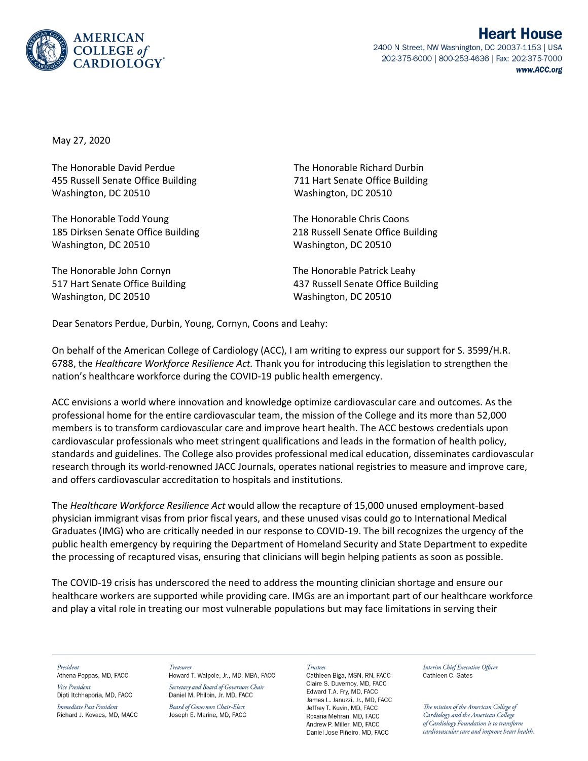

2400 N Street, NW Washington, DC 20037-1153 | USA 202-375-6000 | 800-253-4636 | Fax: 202-375-7000 www.ACC.org

May 27, 2020

The Honorable David Perdue The Honorable Richard Durbin 455 Russell Senate Office Building 711 Hart Senate Office Building Washington, DC 20510 Washington, DC 20510

The Honorable Todd Young The Honorable Chris Coons 185 Dirksen Senate Office Building 218 Russell Senate Office Building Washington, DC 20510 Washington, DC 20510

The Honorable John Cornyn The Honorable Patrick Leahy Washington, DC 20510 Washington, DC 20510

517 Hart Senate Office Building 437 Russell Senate Office Building

Dear Senators Perdue, Durbin, Young, Cornyn, Coons and Leahy:

On behalf of the American College of Cardiology (ACC), I am writing to express our support for S. 3599/H.R. 6788, the *Healthcare Workforce Resilience Act.* Thank you for introducing this legislation to strengthen the nation's healthcare workforce during the COVID-19 public health emergency.

ACC envisions a world where innovation and knowledge optimize cardiovascular care and outcomes. As the professional home for the entire cardiovascular team, the mission of the College and its more than 52,000 members is to transform cardiovascular care and improve heart health. The ACC bestows credentials upon cardiovascular professionals who meet stringent qualifications and leads in the formation of health policy, standards and guidelines. The College also provides professional medical education, disseminates cardiovascular research through its world-renowned JACC Journals, operates national registries to measure and improve care, and offers cardiovascular accreditation to hospitals and institutions.

The *Healthcare Workforce Resilience Act* would allow the recapture of 15,000 unused employment-based physician immigrant visas from prior fiscal years, and these unused visas could go to International Medical Graduates (IMG) who are critically needed in our response to COVID-19. The bill recognizes the urgency of the public health emergency by requiring the Department of Homeland Security and State Department to expedite the processing of recaptured visas, ensuring that clinicians will begin helping patients as soon as possible.

The COVID-19 crisis has underscored the need to address the mounting clinician shortage and ensure our healthcare workers are supported while providing care. IMGs are an important part of our healthcare workforce and play a vital role in treating our most vulnerable populations but may face limitations in serving their

President

Athena Poppas, MD, FACC Vice President Dipti Itchhaporia, MD, FACC

Immediate Past President Richard J. Kovacs, MD, MACC Treasurer Howard T. Walpole, Jr., MD, MBA, FACC

Secretary and Board of Governors Chair Daniel M. Philbin, Jr. MD, FACC

**Board of Governors Chair-Elect** Joseph E. Marine, MD, FACC Trustees

Cathleen Biga, MSN, RN, FACC Claire S. Duvernov, MD. FACC Edward T.A. Fry, MD, FACC James L. Januzzi, Jr., MD, FACC Jeffrey T. Kuvin, MD, FACC Roxana Mehran, MD, FACC Andrew P. Miller, MD. FACC Daniel Jose Piñeiro, MD, FACC

Interim Chief Executive Officer Cathleen C. Gates

The mission of the American College of Cardiology and the American College of Cardiology Foundation is to transform cardiovascular care and improve heart health.